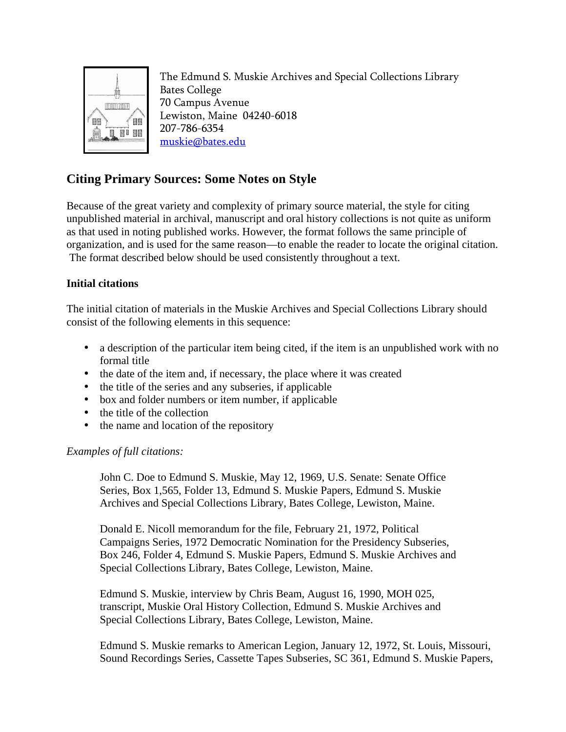

The Edmund S. Muskie Archives and Special Collections Library Bates College 70 Campus Avenue Lewiston, Maine 04240-6018 207-786-6354 muskie@bates.edu

# **Citing Primary Sources: Some Notes on Style**

Because of the great variety and complexity of primary source material, the style for citing unpublished material in archival, manuscript and oral history collections is not quite as uniform as that used in noting published works. However, the format follows the same principle of organization, and is used for the same reason—to enable the reader to locate the original citation. The format described below should be used consistently throughout a text.

# **Initial citations**

The initial citation of materials in the Muskie Archives and Special Collections Library should consist of the following elements in this sequence:

- a description of the particular item being cited, if the item is an unpublished work with no formal title
- the date of the item and, if necessary, the place where it was created
- the title of the series and any subseries, if applicable
- box and folder numbers or item number, if applicable
- the title of the collection
- the name and location of the repository

# *Examples of full citations:*

 John C. Doe to Edmund S. Muskie, May 12, 1969, U.S. Senate: Senate Office Series, Box 1,565, Folder 13, Edmund S. Muskie Papers, Edmund S. Muskie Archives and Special Collections Library, Bates College, Lewiston, Maine.

 Donald E. Nicoll memorandum for the file, February 21, 1972, Political Campaigns Series, 1972 Democratic Nomination for the Presidency Subseries, Box 246, Folder 4, Edmund S. Muskie Papers, Edmund S. Muskie Archives and Special Collections Library, Bates College, Lewiston, Maine.

Edmund S. Muskie, interview by Chris Beam, August 16, 1990, MOH 025, transcript, Muskie Oral History Collection, Edmund S. Muskie Archives and Special Collections Library, Bates College, Lewiston, Maine.

 Edmund S. Muskie remarks to American Legion, January 12, 1972, St. Louis, Missouri, Sound Recordings Series, Cassette Tapes Subseries, SC 361, Edmund S. Muskie Papers,